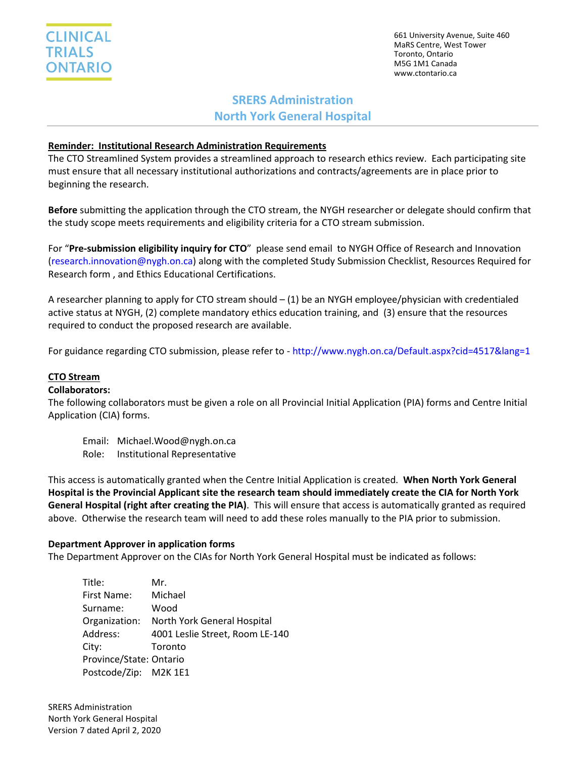

661 University Avenue, Suite 460 MaRS Centre, West Tower Toronto, Ontario M5G 1M1 Canada www.ctontario.ca

# **SRERS Administration North York General Hospital**

## **Reminder: Institutional Research Administration Requirements**

The CTO Streamlined System provides a streamlined approach to research ethics review. Each participating site must ensure that all necessary institutional authorizations and contracts/agreements are in place prior to beginning the research.

**Before** submitting the application through the CTO stream, the NYGH researcher or delegate should confirm that the study scope meets requirements and eligibility criteria for a CTO stream submission.

For "**Pre-submission eligibility inquiry for CTO**" please send email to NYGH Office of Research and Innovation [\(research.innovation@nygh.on.ca\)](mailto:research.innovation@nygh.on.ca) along with the completed Study Submission Checklist, Resources Required for Research form , and Ethics Educational Certifications.

A researcher planning to apply for CTO stream should – (1) be an NYGH employee/physician with credentialed active status at NYGH, (2) complete mandatory ethics education training, and (3) ensure that the resources required to conduct the proposed research are available.

For guidance regarding CTO submission, please refer to - <http://www.nygh.on.ca/Default.aspx?cid=4517&lang=1>

### **CTO Stream**

#### **Collaborators:**

The following collaborators must be given a role on all Provincial Initial Application (PIA) forms and Centre Initial Application (CIA) forms.

- Email: Michael.Wood@nygh.on.ca
- Role: Institutional Representative

This access is automatically granted when the Centre Initial Application is created. **When North York General Hospital is the Provincial Applicant site the research team should immediately create the CIA for North York General Hospital (right after creating the PIA)**. This will ensure that access is automatically granted as required above. Otherwise the research team will need to add these roles manually to the PIA prior to submission.

#### **Department Approver in application forms**

The Department Approver on the CIAs for North York General Hospital must be indicated as follows:

| Title:                  | Mr.                             |
|-------------------------|---------------------------------|
| First Name:             | Michael                         |
| Surname:                | Wood                            |
| Organization:           | North York General Hospital     |
| Address:                | 4001 Leslie Street, Room LE-140 |
| City:                   | Toronto                         |
| Province/State: Ontario |                                 |
| Postcode/Zip: M2K 1E1   |                                 |

SRERS Administration North York General Hospital Version 7 dated April 2, 2020